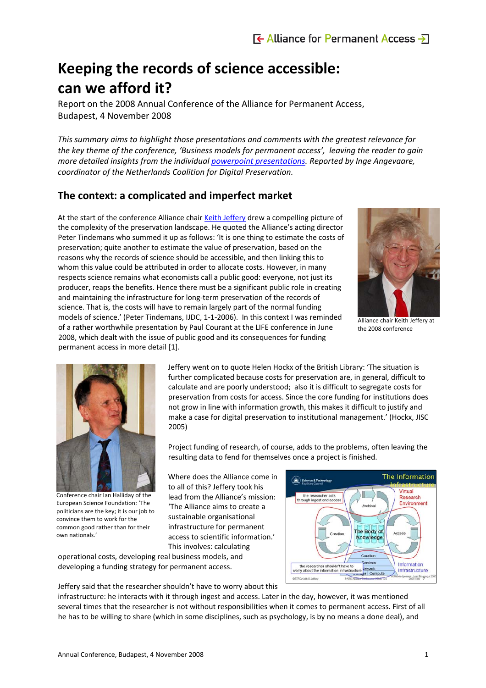# **Keeping the records of science accessible: can we afford it?**

Report on the 2008 Annual Conference of the Alliance for Permanent Access, Budapest, 4 November 2008

*This summary aims to highlight those presentations and comments with the greatest relevance for the key theme of the conference, 'Business models for permanent access', leaving the reader to gain more detailed insights from the individual powerpoint [presentations.](http://www.alliancepermanentaccess.eu/index.php?id=3) Reported by Inge Angevaare, coordinator of the Netherlands Coalition for Digital Preservation.*

## **The context: a complicated and imperfect market**

At the start of the conference Alliance chair Keith [Jeffery](http://www.alliancepermanentaccess.eu/documenten/jeffery.ppt) drew a compelling picture of the complexity of the preservation landscape. He quoted the Alliance's acting director Peter Tindemans who summed it up as follows: 'It is one thing to estimate the costs of preservation; quite another to estimate the value of preservation, based on the reasons why the records of science should be accessible, and then linking this to whom this value could be attributed in order to allocate costs. However, in many respects science remains what economists call a public good: everyone, not just its producer, reaps the benefits. Hence there must be a significant public role in creating and maintaining the infrastructure for long‐term preservation of the records of science. That is, the costs will have to remain largely part of the normal funding models of science.' (Peter Tindemans, IJDC, 1‐1‐2006). In this context I was reminded of a rather worthwhile presentation by Paul Courant at the LIFE conference in June 2008, which dealt with the issue of public good and its consequences for funding permanent access in more detail [1].



Alliance chair Keith Jeffery at the 2008 conference



Conference chair Ian Halliday of the European Science Foundation: 'The politicians are the key; it is our job to convince them to work for the common good rather than for their own nationals.'

Jeffery went on to quote Helen Hockx of the British Library: 'The situation is further complicated because costs for preservation are, in general, difficult to calculate and are poorly understood; also it is difficult to segregate costs for preservation from costs for access. Since the core funding for institutions does not grow in line with information growth, this makes it difficult to justify and make a case for digital preservation to institutional management.' (Hockx, JISC 2005)

Project funding of research, of course, adds to the problems, often leaving the resulting data to fend for themselves once a project is finished.

Where does the Alliance come in to all of this? Jeffery took his lead from the Alliance's mission: 'The Alliance aims to create a sustainable organisational infrastructure for permanent access to scientific information.' This involves: calculating

operational costs, developing real business models, and developing a funding strategy for permanent access.



Jeffery said that the researcher shouldn't have to worry about this

infrastructure: he interacts with it through ingest and access. Later in the day, however, it was mentioned several times that the researcher is not without responsibilities when it comes to permanent access. First of all he has to be willing to share (which in some disciplines, such as psychology, is by no means a done deal), and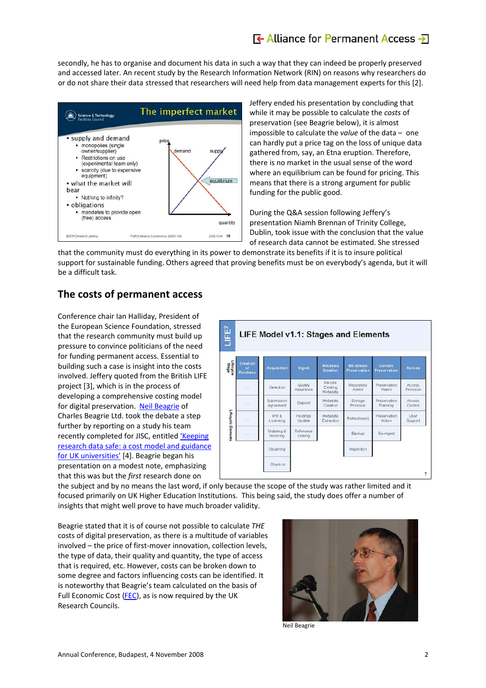## $\overline{\mathbf{F}}$  Alliance for Permanent Access  $\overline{\mathbf{F}}$

secondly, he has to organise and document his data in such a way that they can indeed be properly preserved and accessed later. An recent study by the Research Information Network (RIN) on reasons why researchers do or do not share their data stressed that researchers will need help from data management experts for this [2].



Jeffery ended his presentation by concluding that while it may be possible to calculate the *costs* of preservation (see Beagrie below), it is almost impossible to calculate the *value* of the data – one can hardly put a price tag on the loss of unique data gathered from, say, an Etna eruption. Therefore, there is no market in the usual sense of the word where an equilibrium can be found for pricing. This means that there is a strong argument for public funding for the public good.

During the Q&A session following Jeffery's presentation Niamh Brennan of Trinity College, Dublin, took issue with the conclusion that the value of research data cannot be estimated. She stressed

that the community must do everything in its power to demonstrate its benefits if it is to insure political support for sustainable funding. Others agreed that proving benefits must be on everybody's agenda, but it will be a difficult task.

## **The costs of permanent access**

Conference chair Ian Halliday, President of the European Science Foundation, stressed that the research community must build up pressure to convince politicians of the need for funding permanent access. Essential to building such a case is insight into the costs involved. Jeffery quoted from the British LIFE project [3], which is in the process of developing a comprehensive costing model for digital preservation. Neil [Beagrie](http://www.alliancepermanentaccess.eu/documenten/beagrie.ppt) of Charles Beagrie Ltd. took the debate a step further by reporting on a study his team recently completed for JISC, entitled ['Keeping](http://www.jisc.ac.uk/publications/publications/keepingresearchdatasafe.aspx) research data safe: a cost model and [guidance](http://www.jisc.ac.uk/publications/publications/keepingresearchdatasafe.aspx) for UK [universities'](http://www.jisc.ac.uk/publications/publications/keepingresearchdatasafe.aspx) [4]. Beagrie began his presentation on a modest note, emphasizing that this was but the *first* research done on



the subject and by no means the last word, if only because the scope of the study was rather limited and it focused primarily on UK Higher Education Institutions. This being said, the study does offer a number of insights that might well prove to have much broader validity.

Beagrie stated that it is of course not possible to calculate *THE* costs of digital preservation, as there is a multitude of variables involved – the price of first‐mover innovation, collection levels, the type of data, their quality and quantity, the type of access that is required, etc. However, costs can be broken down to some degree and factors influencing costs can be identified. It is noteworthy that Beagrie's team calculated on the basis of Full Economic Cost [\(FEC](http://www.rcuk.ac.uk/aboutrcs/funding/dual/fec.htm)), as is now required by the UK Research Councils.



Neil Beagrie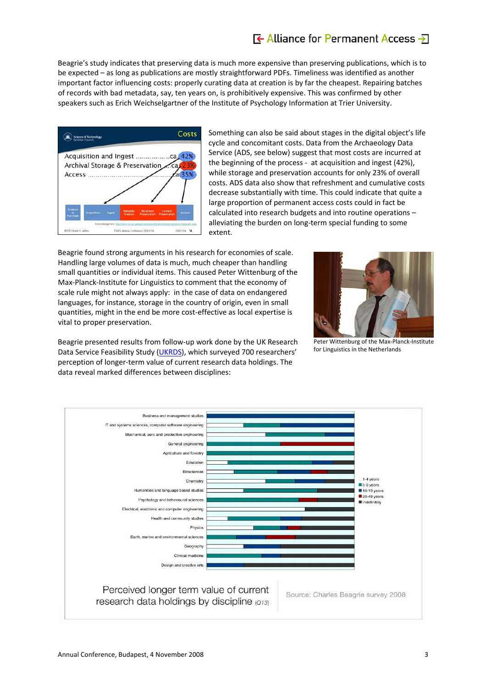## $\overline{\mathbf{f}}$  Alliance for Permanent Access  $\overline{\mathbf{f}}$

Beagrie's study indicates that preserving data is much more expensive than preserving publications, which is to be expected – as long as publications are mostly straightforward PDFs. Timeliness was identified as another important factor influencing costs: properly curating data at creation is by far the cheapest. Repairing batches of records with bad metadata, say, ten years on, is prohibitively expensive. This was confirmed by other speakers such as Erich Weichselgartner of the Institute of Psychology Information at Trier University.



Something can also be said about stages in the digital object's life cycle and concomitant costs. Data from the Archaeology Data Service (ADS, see below) suggest that most costs are incurred at the beginning of the process ‐ at acquisition and ingest (42%), while storage and preservation accounts for only 23% of overall costs. ADS data also show that refreshment and cumulative costs decrease substantially with time. This could indicate that quite a large proportion of permanent access costs could in fact be calculated into research budgets and into routine operations – alleviating the burden on long‐term special funding to some extent.

Beagrie found strong arguments in his research for economies of scale. Handling large volumes of data is much, much cheaper than handling small quantities or individual items. This caused Peter Wittenburg of the Max-Planck-Institute for Linguistics to comment that the economy of scale rule might not always apply: in the case of data on endangered languages, for instance, storage in the country of origin, even in small quantities, might in the end be more cost‐effective as local expertise is vital to proper preservation.



Peter Wittenburg of the Max‐Planck‐Institute for Linguistics in the Netherlands

Beagrie presented results from follow‐up work done by the UK Research Data Service Feasibility Study ([UKRDS](http://www.ukrds.ac.uk/)), which surveyed 700 researchers' perception of longer‐term value of current research data holdings. The data reveal marked differences between disciplines:

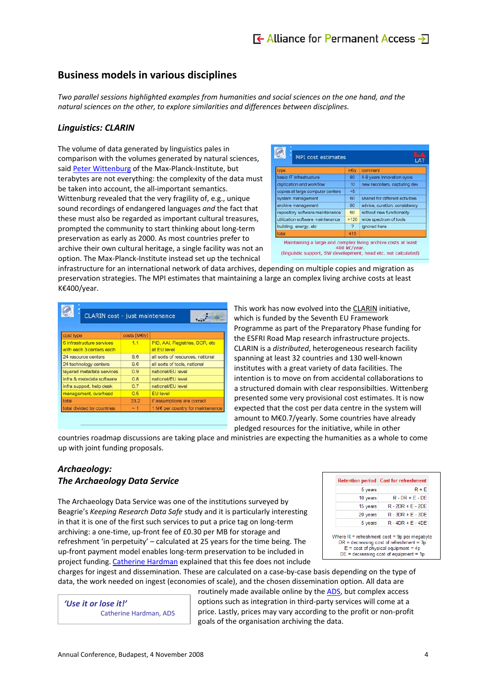## **Business models in various disciplines**

*Two parallel sessions highlighted examples from humanities and social sciences on the one hand, and the natural sciences on the other, to explore similarities and differences between disciplines.*

#### *Linguistics: CLARIN*

The volume of data generated by linguistics pales in comparison with the volumes generated by natural sciences, said Peter [Wittenburg](http://www.alliancepermanentaccess.eu/documenten/wittenburg.ppt) of the Max-Planck-Institute, but terabytes are not everything: the complexity of the data must be taken into account, the all-important semantics. Wittenburg revealed that the very fragility of, e.g., unique sound recordings of endangered languages *and* the fact that these must also be regarded as important cultural treasures, prompted the community to start thinking about long‐term preservation as early as 2000. As most countries prefer to archive their own cultural heritage, a single facility was not an option. The Max‐Planck‐Institute instead set up the technical

| type                             | kely                     | comment                         |
|----------------------------------|--------------------------|---------------------------------|
| basic IT infrastructure          | 80                       | 4-8 years innovation cycle      |
| digitization and workflow        | 10                       | new recorders, capturing dev    |
| copies at large computer centers | 5<                       |                                 |
| system management                | 60                       | shared for different activities |
| archive management               | 80                       | advice, curation, consistency   |
| repository software maintenance  | 60                       | without new functionality       |
| utilization software maintenance | >120                     | wide spectrum of tools          |
| building, energy, etc.           | $\overline{\phantom{a}}$ | ignored here                    |
| total                            | 415                      |                                 |

infrastructure for an international network of data archives, depending on multiple copies and migration as preservation strategies. The MPI estimates that maintaining a large an complex living archive costs at least K€400/year.

| CLARIN cost - just maintenance                        |              |                                                |  |  |
|-------------------------------------------------------|--------------|------------------------------------------------|--|--|
| cost type                                             | costs [ME/y] |                                                |  |  |
| 6 infrastructure services<br>with each 3 centers each | 1.1          | PID, AAI, Registries, DCR, etc.<br>at EU level |  |  |
| 24 resource centers                                   | 9.6          | all sorts of resources, national               |  |  |
| 24 technology centers                                 | 9.6          | all sorts of tools, national                   |  |  |
| layered metadata services                             | 0.9          | national/EU level                              |  |  |
| infra & metadata software                             | 0.8          | national/EU level                              |  |  |
| infra support, help desk                              | 0.7          | national/EU level                              |  |  |
| management, overhead                                  | 0.5          | <b>EU</b> level                                |  |  |
| total                                                 | 23.2         | if assumptions are correct                     |  |  |
| total divided by countries                            | $-1$         | 1 M€ per country for maintenance               |  |  |

This work has now evolved into the [CLARIN](http://www.clarin.eu/) initiative, which is funded by the Seventh EU Framework Programme as part of the Preparatory Phase funding for the ESFRI Road Map research infrastructure projects. CLARIN is a *distributed*, heterogeneous research facility spanning at least 32 countries and 130 well‐known institutes with a great variety of data facilities. The intention is to move on from accidental collaborations to a structured domain with clear responsibilties. Wittenberg presented some very provisional cost estimates. It is now expected that the cost per data centre in the system will amount to M€0.7/yearly. Some countries have already pledged resources for the initiative, while in other

countries roadmap discussions are taking place and ministries are expecting the humanities as a whole to come up with joint funding proposals.

### *Archaeology: The Archaeology Data Service*

The Archaeology Data Service was one of the institutions surveyed by Beagrie's *Keeping Research Data Safe* study and it is particularly interesting in that it is one of the first such services to put a price tag on long-term archiving: a one-time, up-front fee of £0.30 per MB for storage and refreshment 'in perpetuity' – calculated at 25 years for the time being. The up‐front payment model enables long‐term preservation to be included in project funding. [Catherine](http://www.alliancepermanentaccess.eu/documenten/hardman.ppt) Hardman explained that this fee does not include

|          | Retention period   Cost for refreshment |
|----------|-----------------------------------------|
| 5 years  | $R + F$                                 |
| 10 years | $R - DR + E - DE$                       |
| 15 years | $R - 2DR + E - 2DE$                     |
| 20 years | $R - 3DR + E - 3DE$                     |
| 5 years  | $R - 4DR + E - 4DE$                     |

charges for ingest and dissemination. These are calculated on a case-by-case basis depending on the type of data, the work needed on ingest (economies of scale), and the chosen dissemination option. All data are

*'Use it or lose it!'* Catherine Hardman, ADS routinely made available online by the [ADS,](http://ads.ahds.ac.uk/) but complex access options such as integration in third‐party services will come at a price. Lastly, prices may vary according to the profit or non‐profit goals of the organisation archiving the data.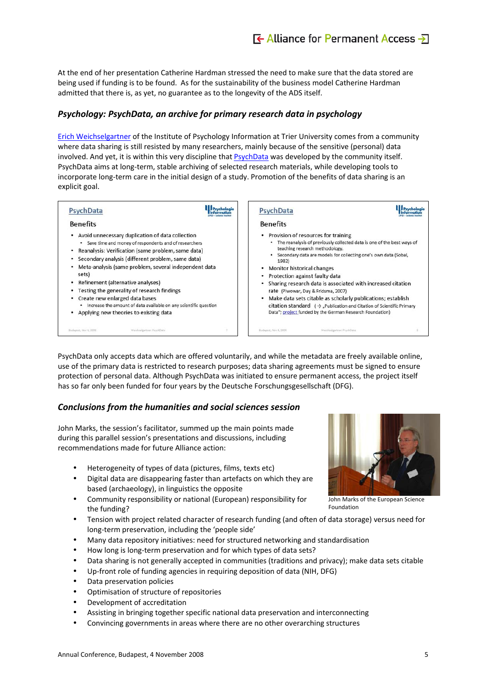At the end of her presentation Catherine Hardman stressed the need to make sure that the data stored are being used if funding is to be found. As for the sustainability of the business model Catherine Hardman admitted that there is, as yet, no guarantee as to the longevity of the ADS itself.

### *Psychology: PsychData, an archive for primary research data in psychology*

Erich [Weichselgartner](http://www.alliancepermanentaccess.eu/documenten/weichselgartner.pdf) of the Institute of Psychology Information at Trier University comes from a community where data sharing is still resisted by many researchers, mainly because of the sensitive (personal) data involved. And yet, it is within this very discipline that **[PsychData](http://www.zpid.de/index.php?wahl=products&uwahl=frei&uuwahl=psychdatainfo&lang=EN)** was developed by the community itself. PsychData aims at long‐term, stable archiving of selected research materials, while developing tools to incorporate long‐term care in the initial design of a study. Promotion of the benefits of data sharing is an explicit goal.



PsychData only accepts data which are offered voluntarily, and while the metadata are freely available online, use of the primary data is restricted to research purposes; data sharing agreements must be signed to ensure protection of personal data. Although PsychData was initiated to ensure permanent access, the project itself has so far only been funded for four years by the Deutsche Forschungsgesellschaft (DFG).

### *Conclusions from the humanities and social sciences session*

John Marks, the session's facilitator, summed up the main points made during this parallel session's presentations and discussions, including recommendations made for future Alliance action:

- Heterogeneity of types of data (pictures, films, texts etc)
- Digital data are disappearing faster than artefacts on which they are based (archaeology), in linguistics the opposite
- Community responsibility or national (European) responsibility for the funding?
- Tension with project related character of research funding (and often of data storage) versus need for long‐term preservation, including the 'people side'
- Many data repository initiatives: need for structured networking and standardisation
- How long is long‐term preservation and for which types of data sets?
- Data sharing is not generally accepted in communities (traditions and privacy); make data sets citable
- Up-front role of funding agencies in requiring deposition of data (NIH, DFG)
- Data preservation policies
- Optimisation of structure of repositories
- Development of accreditation
- Assisting in bringing together specific national data preservation and interconnecting
- Convincing governments in areas where there are no other overarching structures



John Marks of the European Science Foundation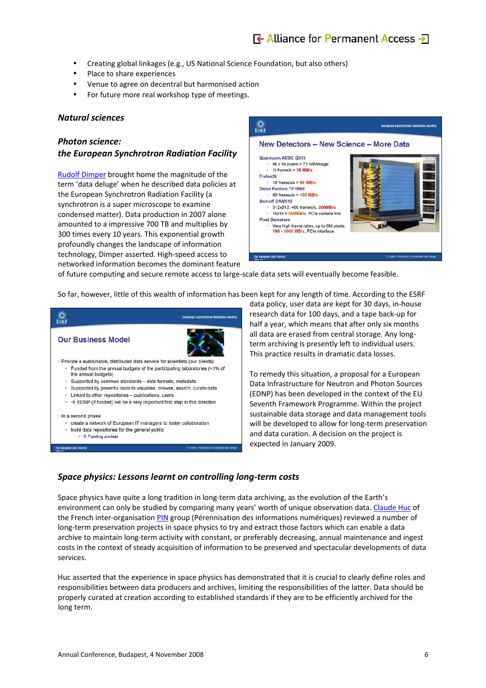## $\overline{\mathbf{F}}$  Alliance for Permanent Access  $\overline{\mathbf{F}}$

- Creating global linkages (e.g., US National Science Foundation, but also others)
- Place to share experiences
- Venue to agree on decentral but harmonised action
- For future more real workshop type of meetings.

#### *Natural sciences*

#### *Photon science:*

#### *the European Synchrotron Radiation Facility*

Rudolf [Dimper](http://www.alliancepermanentaccess.eu/documenten/dimper.ppt) brought home the magnitude of the term 'data deluge' when he described data policies at the European Synchrotron Radiation Facility (a synchrotron is a super microscope to examine condensed matter). Data production in 2007 alone amounted to a impressive 700 TB and multiplies by 300 times every 10 years. This exponential growth profoundly changes the landscape of information technology, Dimper asserted. High‐speed access to networked information becomes the dominant feature



of future computing and secure remote access to large‐scale data sets will eventually become feasible.

So far, however, little of this wealth of information has been kept for any length of time. According to the ESRF

|                  |                                                                                                   | <b>European Synchrotron Radiation Facility</b>     |
|------------------|---------------------------------------------------------------------------------------------------|----------------------------------------------------|
|                  | <b>Our Business Model</b>                                                                         |                                                    |
|                  | Provide a sustainable, distributed data service for scientists (our clients)                      |                                                    |
|                  | - Funded from the annual budgets of the participating laboratories (<1% of<br>the annual budgets) |                                                    |
|                  | - Supported by common standards - data formats, metadata                                          |                                                    |
|                  | - Supported by powerful tools to visualise, browse, search, curate data                           |                                                    |
|                  | - Linked to other repositories - publications, users                                              |                                                    |
|                  | $\rightarrow$ EDNP (if funded) will be a very important first step in this direction              |                                                    |
|                  | · In a second phase:                                                                              |                                                    |
|                  | - create a network of European IT managers to foster collaboration                                |                                                    |
|                  | • build data repositories for the general public                                                  |                                                    |
|                  | $\cdot$ $\rightarrow$ Funding unclear                                                             |                                                    |
| <b>Edite: 33</b> | The turopean light Source                                                                         | R. Diegor - Reflections on sustainable data storag |
|                  |                                                                                                   |                                                    |

data policy, user data are kept for 30 days, in‐house research data for 100 days, and a tape back‐up for half a year, which means that after only six months all data are erased from central storage. Any long‐ term archiving is presently left to individual users. This practice results in dramatic data losses.

To remedy this situation, a proposal for a European Data Infrastructure for Neutron and Photon Sources (EDNP) has been developed in the context of the EU Seventh Framework Programme. Within the project sustainable data storage and data management tools will be developed to allow for long-term preservation and data curation. A decision on the project is expected in January 2009.

#### *Space physics: Lessons learnt on controlling long‐term costs*

Space physics have quite a long tradition in long-term data archiving, as the evolution of the Earth's environment can only be studied by comparing many years' worth of unique observation data. [Claude](http://www.alliancepermanentaccess.eu/documenten/huc.pdf) Huc of the French inter-organisation [PIN](http://vds.cnes.fr/pin/) group (Pérennisation des informations numériques) reviewed a number of long-term preservation projects in space physics to try and extract those factors which can enable a data archive to maintain long‐term activity with constant, or preferably decreasing, annual maintenance and ingest costs in the context of steady acquisition of information to be preserved and spectacular developments of data services.

Huc asserted that the experience in space physics has demonstrated that it is crucial to clearly define roles and responsibilities between data producers and archives, limiting the responsibilities of the latter. Data should be properly curated at creation according to established standards if they are to be efficiently archived for the long term.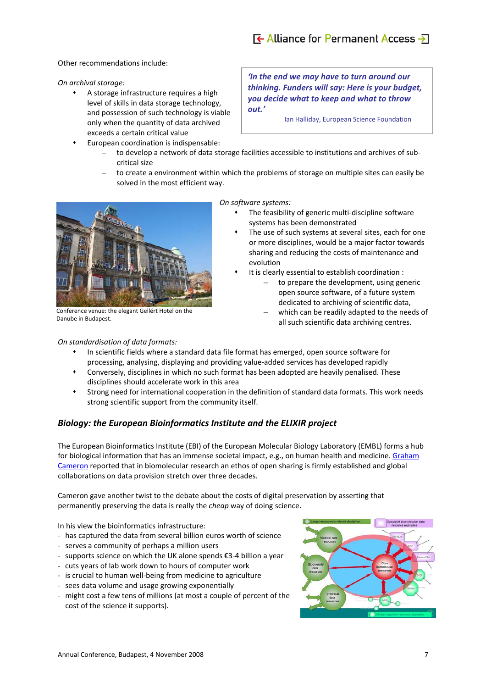#### Other recommendations include:

#### *On archival storage:*

- A storage infrastructure requires a high level of skills in data storage technology, and possession of such technology is viable only when the quantity of data archived exceeds a certain critical value
- European coordination is indispensable:

*'In the end we may have to turn around our thinking. Funders will say: Here is your budget, you decide what to keep and what to throw out.'*

Ian Halliday, European Science Foundation

- to develop a network of data storage facilities accessible to institutions and archives of sub‐ critical size
- to create a environment within which the problems of storage on multiple sites can easily be solved in the most efficient way.



Conference venue: the elegant Gellért Hotel on the Danube in Budapest.

#### *On standardisation of data formats:*

*On software systems:*

- The feasibility of generic multi‐discipline software systems has been demonstrated
- The use of such systems at several sites, each for one or more disciplines, would be a major factor towards sharing and reducing the costs of maintenance and evolution
- It is clearly essential to establish coordination :
	- to prepare the development, using generic open source software, of a future system dedicated to archiving of scientific data,
	- which can be readily adapted to the needs of all such scientific data archiving centres.
- In scientific fields where a standard data file format has emerged, open source software for processing, analysing, displaying and providing value‐added services has developed rapidly
- Conversely, disciplines in which no such format has been adopted are heavily penalised. These disciplines should accelerate work in this area
- Strong need for international cooperation in the definition of standard data formats. This work needs strong scientific support from the community itself.

### *Biology: the European Bioinformatics Institute and the ELIXIR project*

The European Bioinformatics Institute (EBI) of the European Molecular Biology Laboratory (EMBL) forms a hub for biological information that has an immense societal impact, e.g., on human health and medicine. [Graham](http://www.alliancepermanentaccess.eu/documenten/cameron.ppt) [Cameron](http://www.alliancepermanentaccess.eu/documenten/cameron.ppt) reported that in biomolecular research an ethos of open sharing is firmly established and global collaborations on data provision stretch over three decades.

Cameron gave another twist to the debate about the costs of digital preservation by asserting that permanently preserving the data is really the *cheap* way of doing science.

In his view the bioinformatics infrastructure:

- ‐ has captured the data from several billion euros worth of science
- ‐ serves a community of perhaps a million users
- ‐ supports science on which the UK alone spends €3‐4 billion a year
- ‐ cuts years of lab work down to hours of computer work
- ‐ is crucial to human well‐being from medicine to agriculture
- ‐ sees data volume and usage growing exponentially
- ‐ might cost a few tens of millions (at most a couple of percent of the cost of the science it supports).

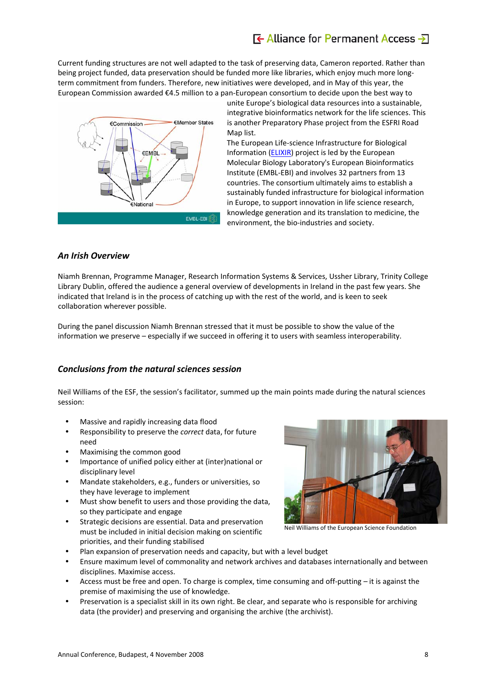## $\overline{\mathbf{F}}$  Alliance for Permanent Access  $\overline{\mathbf{F}}$

Current funding structures are not well adapted to the task of preserving data, Cameron reported. Rather than being project funded, data preservation should be funded more like libraries, which enjoy much more longterm commitment from funders. Therefore, new initiatives were developed, and in May of this year, the European Commission awarded €4.5 million to a pan‐European consortium to decide upon the best way to



unite Europe's biological data resources into a sustainable, integrative bioinformatics network for the life sciences. This is another Preparatory Phase project from the ESFRI Road Map list.

The European Life‐science Infrastructure for Biological Information ([ELIXIR](http://www.elixir-europe.org/page.php?page=home)) project is led by the European Molecular Biology Laboratory's European Bioinformatics Institute (EMBL‐EBI) and involves 32 partners from 13 countries. The consortium ultimately aims to establish a sustainably funded infrastructure for biological information in Europe, to support innovation in life science research, knowledge generation and its translation to medicine, the environment, the bio-industries and society.

#### *An Irish Overview*

Niamh Brennan, Programme Manager, Research Information Systems & Services, Ussher Library, Trinity College Library Dublin, offered the audience a general overview of developments in Ireland in the past few years. She indicated that Ireland is in the process of catching up with the rest of the world, and is keen to seek collaboration wherever possible.

During the panel discussion Niamh Brennan stressed that it must be possible to show the value of the information we preserve – especially if we succeed in offering it to users with seamless interoperability.

#### *Conclusions from the natural sciences session*

Neil Williams of the ESF, the session's facilitator, summed up the main points made during the natural sciences session:

- Massive and rapidly increasing data flood
- Responsibility to preserve the *correct* data, for future need
- Maximising the common good
- Importance of unified policy either at (inter)national or disciplinary level
- Mandate stakeholders, e.g., funders or universities, so they have leverage to implement
- Must show benefit to users and those providing the data, so they participate and engage
- Strategic decisions are essential. Data and preservation must be included in initial decision making on scientific priorities, and their funding stabilised



Neil Williams of the European Science Foundation

- Plan expansion of preservation needs and capacity, but with a level budget
- Ensure maximum level of commonality and network archives and databases internationally and between disciplines. Maximise access.
- Access must be free and open. To charge is complex, time consuming and off-putting it is against the premise of maximising the use of knowledge.
- Preservation is a specialist skill in its own right. Be clear, and separate who is responsible for archiving data (the provider) and preserving and organising the archive (the archivist).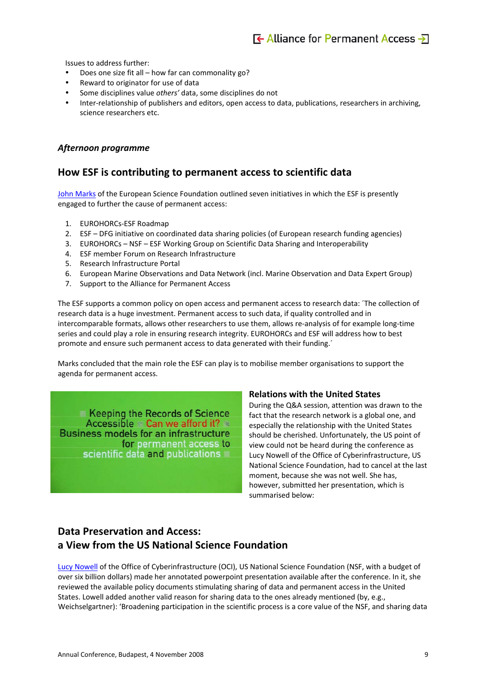Issues to address further:

- Does one size fit all how far can commonality go?
- Reward to originator for use of data
- Some disciplines value *others'* data, some disciplines do not
- Inter-relationship of publishers and editors, open access to data, publications, researchers in archiving, science researchers etc.

#### *Afternoon programme*

### **How ESF is contributing to permanent access to scientific data**

John [Marks](http://www.alliancepermanentaccess.eu/documenten/marks.ppt) of the European Science Foundation outlined seven initiatives in which the ESF is presently engaged to further the cause of permanent access:

- 1. EUROHORCs‐ESF Roadmap
- 2. ESF DFG initiative on coordinated data sharing policies (of European research funding agencies)
- 3. EUROHORCs NSF ESF Working Group on Scientific Data Sharing and Interoperability
- 4. ESF member Forum on Research Infrastructure
- 5. Research Infrastructure Portal
- 6. European Marine Observations and Data Network (incl. Marine Observation and Data Expert Group)
- 7. Support to the Alliance for Permanent Access

The ESF supports a common policy on open access and permanent access to research data: ´The collection of research data is a huge investment. Permanent access to such data, if quality controlled and in intercomparable formats, allows other researchers to use them, allows re-analysis of for example long-time series and could play a role in ensuring research integrity. EUROHORCs and ESF will address how to best promote and ensure such permanent access to data generated with their funding.´

Marks concluded that the main role the ESF can play is to mobilise member organisations to support the agenda for permanent access.

Keeping the Records of Science Accessible Can we afford it? **Business models for an infrastructure** for permanent access to scientific data and publications

#### **Relations with the United States**

During the Q&A session, attention was drawn to the fact that the research network is a global one, and especially the relationship with the United States should be cherished. Unfortunately, the US point of view could not be heard during the conference as Lucy Nowell of the Office of Cyberinfrastructure, US National Science Foundation, had to cancel at the last moment, because she was not well. She has, however, submitted her presentation, which is summarised below:

## **Data Preservation and Access: a View from the US National Science Foundation**

Lucy [Nowell](http://www.alliancepermanentaccess.eu/documenten/nowell.pdf) of the Office of Cyberinfrastructure (OCI), US National Science Foundation (NSF, with a budget of over six billion dollars) made her annotated powerpoint presentation available after the conference. In it, she reviewed the available policy documents stimulating sharing of data and permanent access in the United States. Lowell added another valid reason for sharing data to the ones already mentioned (by, e.g., Weichselgartner): 'Broadening participation in the scientific process is a core value of the NSF, and sharing data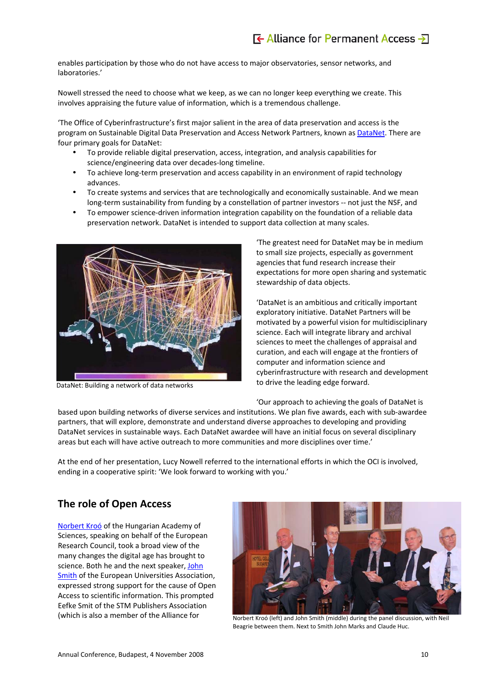enables participation by those who do not have access to major observatories, sensor networks, and laboratories.'

Nowell stressed the need to choose what we keep, as we can no longer keep everything we create. This involves appraising the future value of information, which is a tremendous challenge.

'The Office of Cyberinfrastructure's first major salient in the area of data preservation and access is the program on Sustainable Digital Data Preservation and Access Network Partners, known as [DataNet](http://www.nsf.gov/funding/pgm_summ.jsp?pims_id=503141&org=OCI&from=home). There are four primary goals for DataNet:

- y To provide reliable digital preservation, access, integration, and analysis capabilities for science/engineering data over decades‐long timeline.
- To achieve long-term preservation and access capability in an environment of rapid technology advances.
- To create systems and services that are technologically and economically sustainable. And we mean long-term sustainability from funding by a constellation of partner investors -- not just the NSF, and
- To empower science-driven information integration capability on the foundation of a reliable data preservation network. DataNet is intended to support data collection at many scales.



DataNet: Building a network of data networks

'The greatest need for DataNet may be in medium to small size projects, especially as government agencies that fund research increase their expectations for more open sharing and systematic stewardship of data objects.

'DataNet is an ambitious and critically important exploratory initiative. DataNet Partners will be motivated by a powerful vision for multidisciplinary science. Each will integrate library and archival sciences to meet the challenges of appraisal and curation, and each will engage at the frontiers of computer and information science and cyberinfrastructure with research and development to drive the leading edge forward.

'Our approach to achieving the goals of DataNet is

based upon building networks of diverse services and institutions. We plan five awards, each with sub‐awardee partners, that will explore, demonstrate and understand diverse approaches to developing and providing DataNet services in sustainable ways. Each DataNet awardee will have an initial focus on several disciplinary areas but each will have active outreach to more communities and more disciplines over time.'

At the end of her presentation, Lucy Nowell referred to the international efforts in which the OCI is involved, ending in a cooperative spirit: 'We look forward to working with you.'

## **The role of Open Access**

[Norbert](http://www.alliancepermanentaccess.eu/documenten/kroo.ppt) Kroó of the Hungarian Academy of Sciences, speaking on behalf of the European Research Council, took a broad view of the many changes the digital age has brought to science. Both he and the next speaker, [John](http://www.alliancepermanentaccess.eu/documenten/smith.ppt) [Smith](http://www.alliancepermanentaccess.eu/documenten/smith.ppt) of the European Universities Association, expressed strong support for the cause of Open Access to scientific information. This prompted Eefke Smit of the STM Publishers Association (which is also a member of the Alliance for



Norbert Kroó (left) and John Smith (middle) during the panel discussion, with Neil Beagrie between them. Next to Smith John Marks and Claude Huc.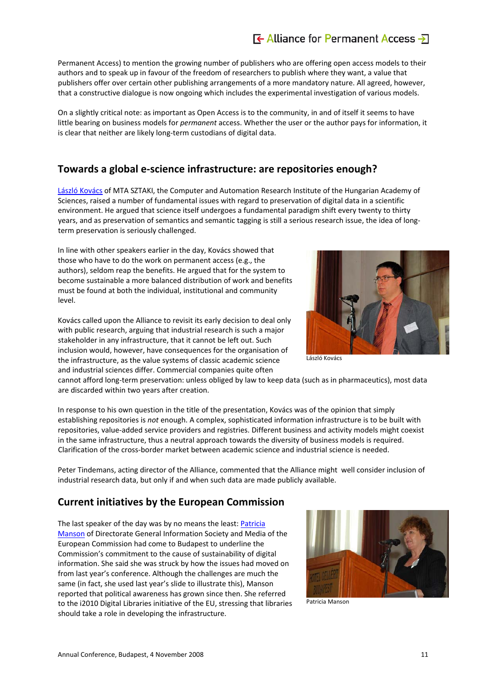## $\overline{f}$  Alliance for Permanent Access  $\overline{f}$

Permanent Access) to mention the growing number of publishers who are offering open access models to their authors and to speak up in favour of the freedom of researchers to publish where they want, a value that publishers offer over certain other publishing arrangements of a more mandatory nature. All agreed, however, that a constructive dialogue is now ongoing which includes the experimental investigation of various models.

On a slightly critical note: as important as Open Access is to the community, in and of itself it seems to have little bearing on business models for *permanent* access. Whether the user or the author pays for information, it is clear that neither are likely long‐term custodians of digital data.

## **Towards a global e‐science infrastructure: are repositories enough?**

László [Kovács](http://www.alliancepermanentaccess.eu/documenten/kovacs.pdf) of MTA SZTAKI, the Computer and Automation Research Institute of the Hungarian Academy of Sciences, raised a number of fundamental issues with regard to preservation of digital data in a scientific environment. He argued that science itself undergoes a fundamental paradigm shift every twenty to thirty years, and as preservation of semantics and semantic tagging is still a serious research issue, the idea of long‐ term preservation is seriously challenged.

In line with other speakers earlier in the day, Kovács showed that those who have to do the work on permanent access (e.g., the authors), seldom reap the benefits. He argued that for the system to become sustainable a more balanced distribution of work and benefits must be found at both the individual, institutional and community level.

Kovács called upon the Alliance to revisit its early decision to deal only with public research, arguing that industrial research is such a major stakeholder in any infrastructure, that it cannot be left out. Such inclusion would, however, have consequences for the organisation of the infrastructure, as the value systems of classic academic science and industrial sciences differ. Commercial companies quite often



László Kovács

cannot afford long‐term preservation: unless obliged by law to keep data (such as in pharmaceutics), most data are discarded within two years after creation.

In response to his own question in the title of the presentation, Kovács was of the opinion that simply establishing repositories is *not* enough. A complex, sophisticated information infrastructure is to be built with repositories, value‐added service providers and registries. Different business and activity models might coexist in the same infrastructure, thus a neutral approach towards the diversity of business models is required. Clarification of the cross‐border market between academic science and industrial science is needed.

Peter Tindemans, acting director of the Alliance, commented that the Alliance might well consider inclusion of industrial research data, but only if and when such data are made publicly available.

## **Current initiatives by the European Commission**

The last speaker of the day was by no means the least: [Patricia](http://www.alliancepermanentaccess.eu/documenten/manson.ppt) [Manson](http://www.alliancepermanentaccess.eu/documenten/manson.ppt) of Directorate General Information Society and Media of the European Commission had come to Budapest to underline the Commission's commitment to the cause of sustainability of digital information. She said she was struck by how the issues had moved on from last year's conference. Although the challenges are much the same (in fact, she used last year's slide to illustrate this), Manson reported that political awareness has grown since then. She referred to the i2010 Digital Libraries initiative of the EU, stressing that libraries should take a role in developing the infrastructure.



Patricia Manson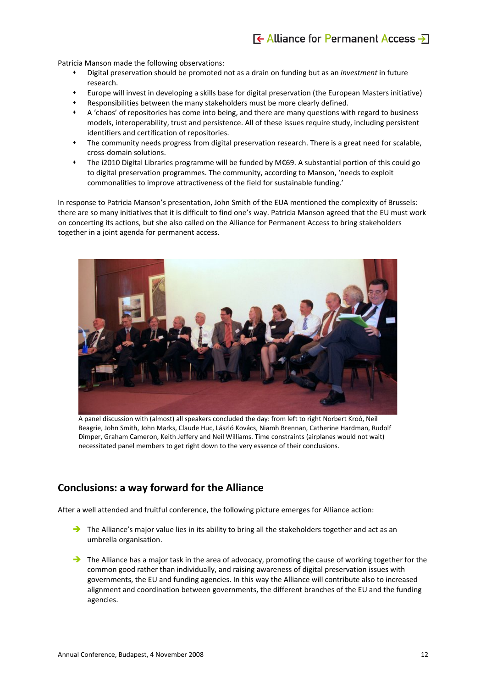Patricia Manson made the following observations:

- Digital preservation should be promoted not as a drain on funding but as an *investment* in future research.
- Europe will invest in developing a skills base for digital preservation (the European Masters initiative)
- Responsibilities between the many stakeholders must be more clearly defined.
- A 'chaos' of repositories has come into being, and there are many questions with regard to business models, interoperability, trust and persistence. All of these issues require study, including persistent identifiers and certification of repositories.
- The community needs progress from digital preservation research. There is a great need for scalable, cross‐domain solutions.
- The i2010 Digital Libraries programme will be funded by M€69. A substantial portion of this could go to digital preservation programmes. The community, according to Manson, 'needs to exploit commonalities to improve attractiveness of the field for sustainable funding.'

In response to Patricia Manson's presentation, John Smith of the EUA mentioned the complexity of Brussels: there are so many initiatives that it is difficult to find one's way. Patricia Manson agreed that the EU must work on concerting its actions, but she also called on the Alliance for Permanent Access to bring stakeholders together in a joint agenda for permanent access.



A panel discussion with (almost) all speakers concluded the day: from left to right Norbert Kroó, Neil Beagrie, John Smith, John Marks, Claude Huc, László Kovács, Niamh Brennan, Catherine Hardman, Rudolf Dimper, Graham Cameron, Keith Jeffery and Neil Williams. Time constraints (airplanes would not wait) necessitated panel members to get right down to the very essence of their conclusions.

## **Conclusions: a way forward for the Alliance**

After a well attended and fruitful conference, the following picture emerges for Alliance action:

- The Alliance's major value lies in its ability to bring all the stakeholders together and act as an umbrella organisation.
- $\rightarrow$  The Alliance has a major task in the area of advocacy, promoting the cause of working together for the common good rather than individually, and raising awareness of digital preservation issues with governments, the EU and funding agencies. In this way the Alliance will contribute also to increased alignment and coordination between governments, the different branches of the EU and the funding agencies.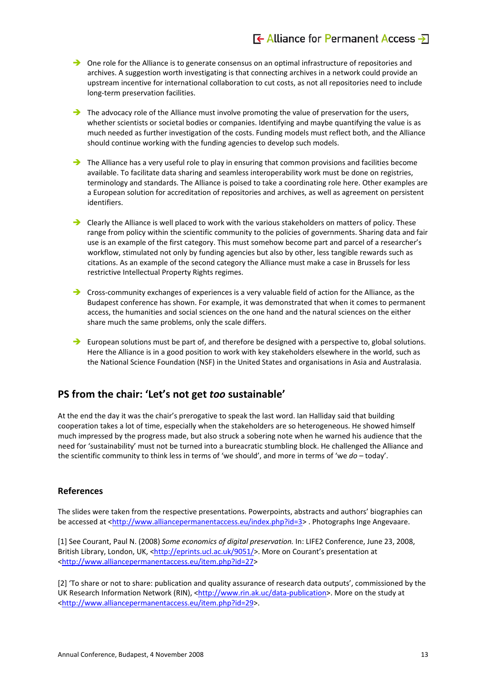- $\rightarrow$  One role for the Alliance is to generate consensus on an optimal infrastructure of repositories and archives. A suggestion worth investigating is that connecting archives in a network could provide an upstream incentive for international collaboration to cut costs, as not all repositories need to include long‐term preservation facilities.
- $\rightarrow$  The advocacy role of the Alliance must involve promoting the value of preservation for the users, whether scientists or societal bodies or companies. Identifying and maybe quantifying the value is as much needed as further investigation of the costs. Funding models must reflect both, and the Alliance should continue working with the funding agencies to develop such models.
- $\rightarrow$  The Alliance has a very useful role to play in ensuring that common provisions and facilities become available. To facilitate data sharing and seamless interoperability work must be done on registries, terminology and standards. The Alliance is poised to take a coordinating role here. Other examples are a European solution for accreditation of repositories and archives, as well as agreement on persistent identifiers.
- $\rightarrow$  Clearly the Alliance is well placed to work with the various stakeholders on matters of policy. These range from policy within the scientific community to the policies of governments. Sharing data and fair use is an example of the first category. This must somehow become part and parcel of a researcher's workflow, stimulated not only by funding agencies but also by other, less tangible rewards such as citations. As an example of the second category the Alliance must make a case in Brussels for less restrictive Intellectual Property Rights regimes.
- $\rightarrow$  Cross-community exchanges of experiences is a very valuable field of action for the Alliance, as the Budapest conference has shown. For example, it was demonstrated that when it comes to permanent access, the humanities and social sciences on the one hand and the natural sciences on the either share much the same problems, only the scale differs.
- $\rightarrow$  European solutions must be part of, and therefore be designed with a perspective to, global solutions. Here the Alliance is in a good position to work with key stakeholders elsewhere in the world, such as the National Science Foundation (NSF) in the United States and organisations in Asia and Australasia.

## **PS from the chair: 'Let's not get** *too* **sustainable'**

At the end the day it was the chair's prerogative to speak the last word. Ian Halliday said that building cooperation takes a lot of time, especially when the stakeholders are so heterogeneous. He showed himself much impressed by the progress made, but also struck a sobering note when he warned his audience that the need for 'sustainability' must not be turned into a bureacratic stumbling block. He challenged the Alliance and the scientific community to think less in terms of 'we should', and more in terms of 'we *do* – today'.

### **References**

The slides were taken from the respective presentations. Powerpoints, abstracts and authors' biographies can be accessed at [<http://www.alliancepermanentaccess.eu/index.php?id=3](http://www.alliancepermanentaccess.eu/index.php?id=3)> . Photographs Inge Angevaare.

[1] See Courant, Paul N. (2008) *Some economics of digital preservation.* In: LIFE2 Conference, June 23, 2008, British Library, London, UK, <[http://eprints.ucl.ac.uk/9051/>](http://eprints.ucl.ac.uk/9051/). More on Courant's presentation at <<http://www.alliancepermanentaccess.eu/item.php?id=27>>

[2] 'To share or not to share: publication and quality assurance of research data outputs', commissioned by the UK Research Information Network (RIN), <[http://www.rin.ak.uc/data](http://www.rin.ak.uc/data-publication)-publication>. More on the study at <<http://www.alliancepermanentaccess.eu/item.php?id=29>>.